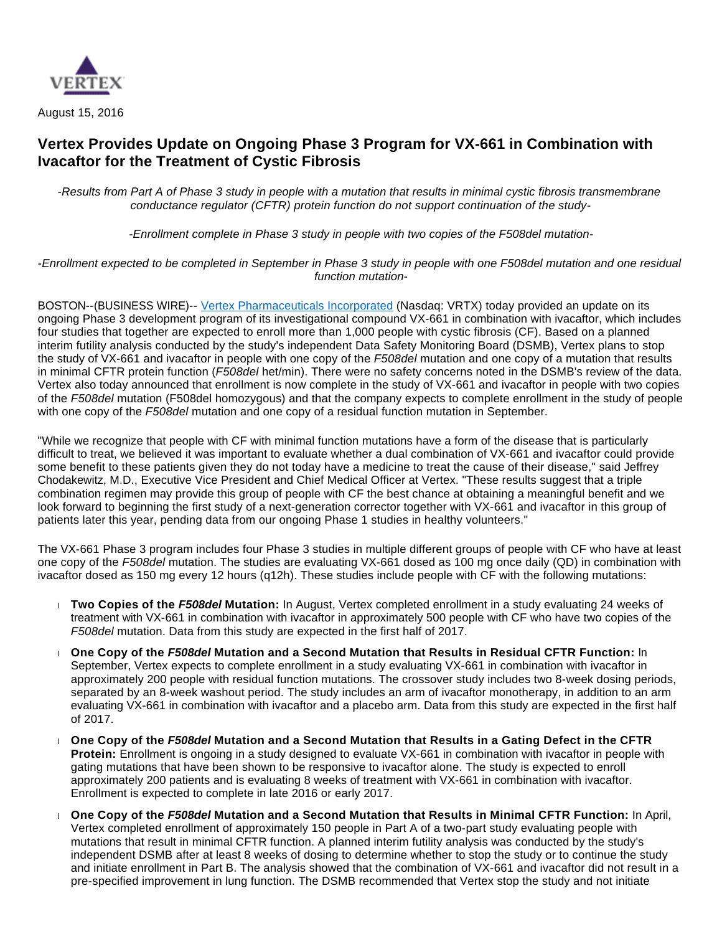

August 15, 2016

## **Vertex Provides Update on Ongoing Phase 3 Program for VX-661 in Combination with Ivacaftor for the Treatment of Cystic Fibrosis**

-Results from Part A of Phase 3 study in people with a mutation that results in minimal cystic fibrosis transmembrane conductance regulator (CFTR) protein function do not support continuation of the study-

-Enrollment complete in Phase 3 study in people with two copies of the F508del mutation-

-Enrollment expected to be completed in September in Phase 3 study in people with one F508del mutation and one residual function mutation-

BOSTON--(BUSINESS WIRE)-- [Vertex Pharmaceuticals Incorporated](http://cts.businesswire.com/ct/CT?id=smartlink&url=http%3A%2F%2Fwww.vrtx.com&esheet=51402130&newsitemid=20160815006099&lan=en-US&anchor=Vertex+Pharmaceuticals+Incorporated&index=1&md5=abbd2155568e0de7c50a0d6a8cd496e1) (Nasdaq: VRTX) today provided an update on its ongoing Phase 3 development program of its investigational compound VX-661 in combination with ivacaftor, which includes four studies that together are expected to enroll more than 1,000 people with cystic fibrosis (CF). Based on a planned interim futility analysis conducted by the study's independent Data Safety Monitoring Board (DSMB), Vertex plans to stop the study of VX-661 and ivacaftor in people with one copy of the F508del mutation and one copy of a mutation that results in minimal CFTR protein function (F508del het/min). There were no safety concerns noted in the DSMB's review of the data. Vertex also today announced that enrollment is now complete in the study of VX-661 and ivacaftor in people with two copies of the F508del mutation (F508del homozygous) and that the company expects to complete enrollment in the study of people with one copy of the F508del mutation and one copy of a residual function mutation in September.

"While we recognize that people with CF with minimal function mutations have a form of the disease that is particularly difficult to treat, we believed it was important to evaluate whether a dual combination of VX-661 and ivacaftor could provide some benefit to these patients given they do not today have a medicine to treat the cause of their disease," said Jeffrey Chodakewitz, M.D., Executive Vice President and Chief Medical Officer at Vertex. "These results suggest that a triple combination regimen may provide this group of people with CF the best chance at obtaining a meaningful benefit and we look forward to beginning the first study of a next-generation corrector together with VX-661 and ivacaftor in this group of patients later this year, pending data from our ongoing Phase 1 studies in healthy volunteers."

The VX-661 Phase 3 program includes four Phase 3 studies in multiple different groups of people with CF who have at least one copy of the F508del mutation. The studies are evaluating VX-661 dosed as 100 mg once daily (QD) in combination with ivacaftor dosed as 150 mg every 12 hours (q12h). These studies include people with CF with the following mutations:

- **Two Copies of the F508del Mutation:** In August, Vertex completed enrollment in a study evaluating 24 weeks of treatment with VX-661 in combination with ivacaftor in approximately 500 people with CF who have two copies of the F508del mutation. Data from this study are expected in the first half of 2017.
- **One Copy of the F508del Mutation and a Second Mutation that Results in Residual CFTR Function:** In September, Vertex expects to complete enrollment in a study evaluating VX-661 in combination with ivacaftor in approximately 200 people with residual function mutations. The crossover study includes two 8-week dosing periods, separated by an 8-week washout period. The study includes an arm of ivacaftor monotherapy, in addition to an arm evaluating VX-661 in combination with ivacaftor and a placebo arm. Data from this study are expected in the first half of 2017.
- **One Copy of the F508del Mutation and a Second Mutation that Results in a Gating Defect in the CFTR Protein:** Enrollment is ongoing in a study designed to evaluate VX-661 in combination with ivacaftor in people with gating mutations that have been shown to be responsive to ivacaftor alone. The study is expected to enroll approximately 200 patients and is evaluating 8 weeks of treatment with VX-661 in combination with ivacaftor. Enrollment is expected to complete in late 2016 or early 2017.
- **One Copy of the F508del Mutation and a Second Mutation that Results in Minimal CFTR Function:** In April, Vertex completed enrollment of approximately 150 people in Part A of a two-part study evaluating people with mutations that result in minimal CFTR function. A planned interim futility analysis was conducted by the study's independent DSMB after at least 8 weeks of dosing to determine whether to stop the study or to continue the study and initiate enrollment in Part B. The analysis showed that the combination of VX-661 and ivacaftor did not result in a pre-specified improvement in lung function. The DSMB recommended that Vertex stop the study and not initiate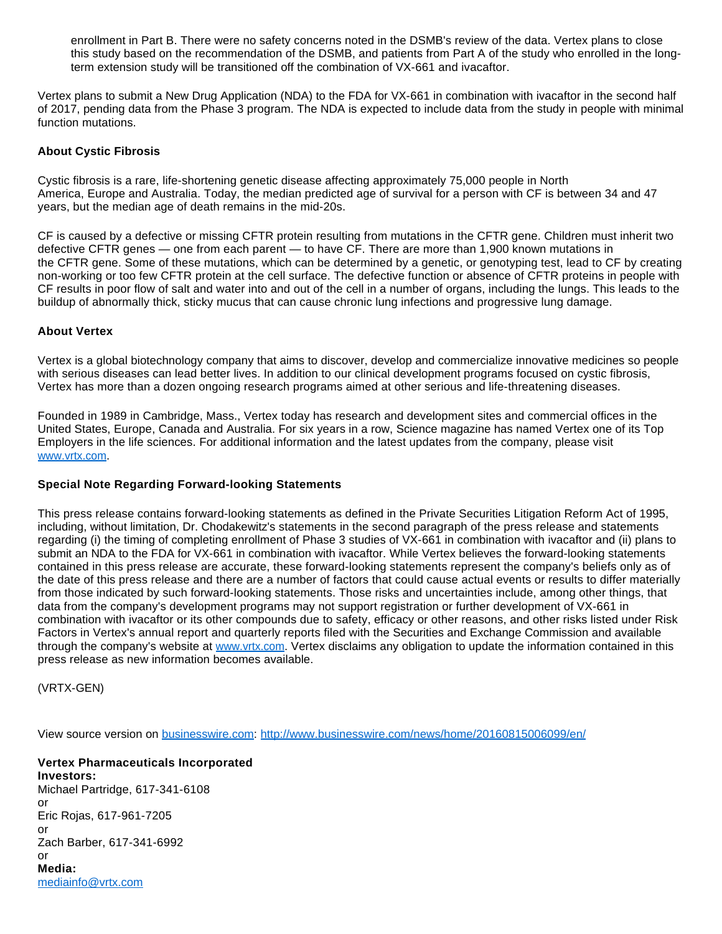enrollment in Part B. There were no safety concerns noted in the DSMB's review of the data. Vertex plans to close this study based on the recommendation of the DSMB, and patients from Part A of the study who enrolled in the longterm extension study will be transitioned off the combination of VX-661 and ivacaftor.

Vertex plans to submit a New Drug Application (NDA) to the FDA for VX-661 in combination with ivacaftor in the second half of 2017, pending data from the Phase 3 program. The NDA is expected to include data from the study in people with minimal function mutations.

## **About Cystic Fibrosis**

Cystic fibrosis is a rare, life-shortening genetic disease affecting approximately 75,000 people in North America, Europe and Australia. Today, the median predicted age of survival for a person with CF is between 34 and 47 years, but the median age of death remains in the mid-20s.

CF is caused by a defective or missing CFTR protein resulting from mutations in the CFTR gene. Children must inherit two defective CFTR genes — one from each parent — to have CF. There are more than 1,900 Known mutations in the CFTR gene. Some of these mutations, which can be determined by a genetic, or genotyping test, lead to CF by creating non-working or too few CFTR protein at the cell surface. The defective function or absence of CFTR proteins in people with CF results in poor flow of salt and water into and out of the cell in a number of organs, including the lungs. This leads to the buildup of abnormally thick, sticky mucus that can cause chronic lung infections and progressive lung damage.

## **About Vertex**

Vertex is a global biotechnology company that aims to discover, develop and commercialize innovative medicines so people with serious diseases can lead better lives. In addition to our clinical development programs focused on cystic fibrosis, Vertex has more than a dozen ongoing research programs aimed at other serious and life-threatening diseases.

Founded in 1989 in Cambridge, Mass., Vertex today has research and development sites and commercial offices in the United States, Europe, Canada and Australia. For six years in a row, Science magazine has named Vertex one of its Top Employers in the life sciences. For additional information and the latest updates from the company, please visit [www.vrtx.com](http://cts.businesswire.com/ct/CT?id=smartlink&url=http%3A%2F%2Fwww.vrtx.com&esheet=51402130&newsitemid=20160815006099&lan=en-US&anchor=www.vrtx.com&index=2&md5=1d99014ea31cde13f2692b5310ad55c2).

## **Special Note Regarding Forward-looking Statements**

This press release contains forward-looking statements as defined in the Private Securities Litigation Reform Act of 1995, including, without limitation, Dr. Chodakewitz's statements in the second paragraph of the press release and statements regarding (i) the timing of completing enrollment of Phase 3 studies of VX-661 in combination with ivacaftor and (ii) plans to submit an NDA to the FDA for VX-661 in combination with ivacaftor. While Vertex believes the forward-looking statements contained in this press release are accurate, these forward-looking statements represent the company's beliefs only as of the date of this press release and there are a number of factors that could cause actual events or results to differ materially from those indicated by such forward-looking statements. Those risks and uncertainties include, among other things, that data from the company's development programs may not support registration or further development of VX-661 in combination with ivacaftor or its other compounds due to safety, efficacy or other reasons, and other risks listed under Risk Factors in Vertex's annual report and quarterly reports filed with the Securities and Exchange Commission and available through the company's website at [www.vrtx.com](http://cts.businesswire.com/ct/CT?id=smartlink&url=http%3A%2F%2Fwww.vrtx.com&esheet=51402130&newsitemid=20160815006099&lan=en-US&anchor=www.vrtx.com&index=3&md5=84ac69c49caabde359fac1058c38ebe1). Vertex disclaims any obligation to update the information contained in this press release as new information becomes available.

(VRTX-GEN)

View source version on [businesswire.com](http://businesswire.com/): <http://www.businesswire.com/news/home/20160815006099/en/>

**Vertex Pharmaceuticals Incorporated Investors:** Michael Partridge, 617-341-6108 or Eric Rojas, 617-961-7205 or Zach Barber, 617-341-6992 or **Media:** [mediainfo@vrtx.com](mailto:mediainfo@vrtx.com)